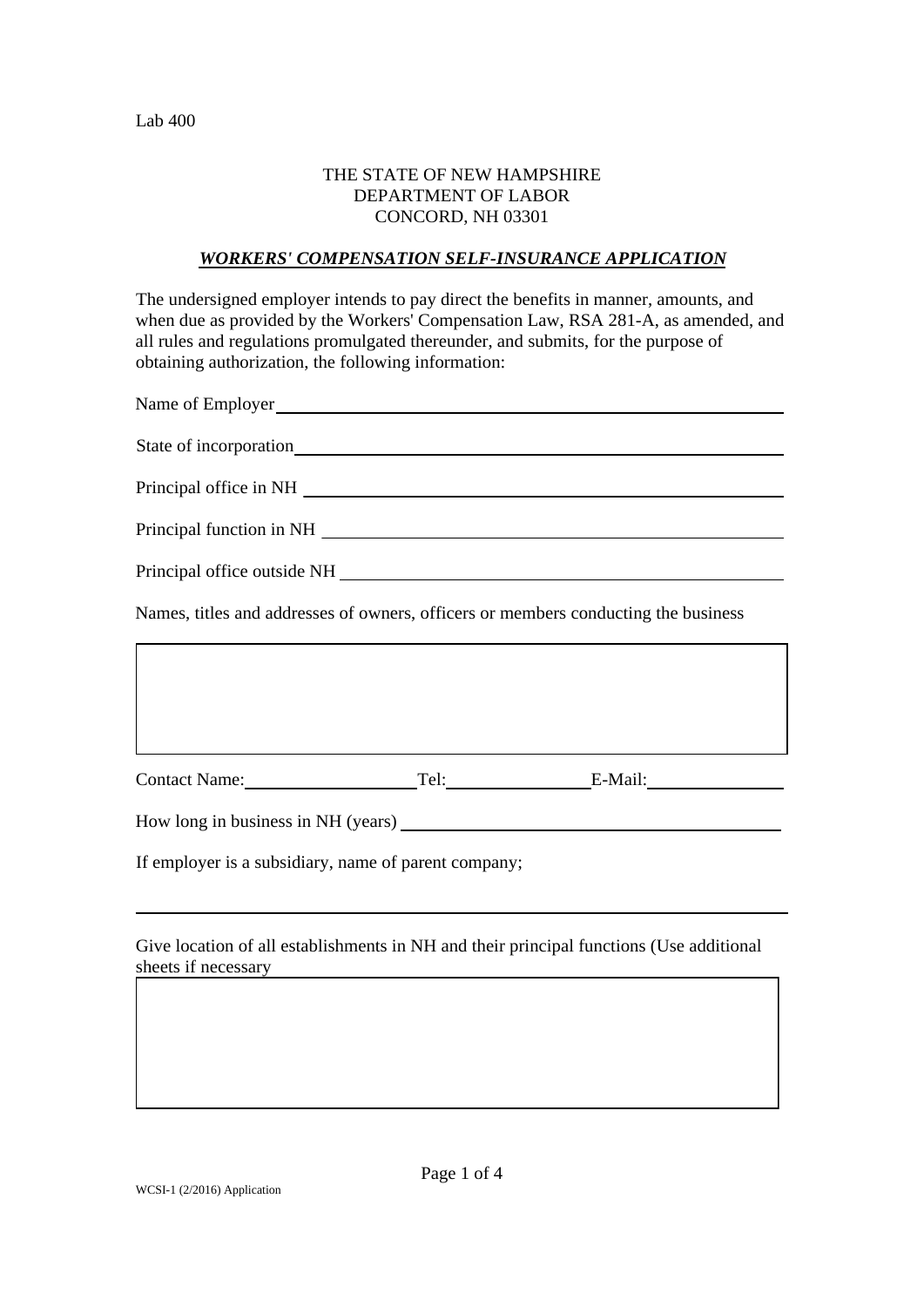### THE STATE OF NEW HAMPSHIRE DEPARTMENT OF LABOR CONCORD, NH 03301

### *WORKERS' COMPENSATION SELF-INSURANCE APPLICATION*

The undersigned employer intends to pay direct the benefits in manner, amounts, and when due as provided by the Workers' Compensation Law, RSA 281-A, as amended, and all rules and regulations promulgated thereunder, and submits, for the purpose of obtaining authorization, the following information:

| Name of Employer<br><u>Name of Employer</u>                                        |  |  |  |  |
|------------------------------------------------------------------------------------|--|--|--|--|
| State of incorporation<br><u>State of incorporation</u>                            |  |  |  |  |
|                                                                                    |  |  |  |  |
|                                                                                    |  |  |  |  |
|                                                                                    |  |  |  |  |
| Names, titles and addresses of owners, officers or members conducting the business |  |  |  |  |
|                                                                                    |  |  |  |  |
|                                                                                    |  |  |  |  |
| Contact Name:<br>Tel: E-Mail:                                                      |  |  |  |  |
| How long in business in NH (years)                                                 |  |  |  |  |

If employer is a subsidiary, name of parent company;

Give location of all establishments in NH and their principal functions (Use additional sheets if necessary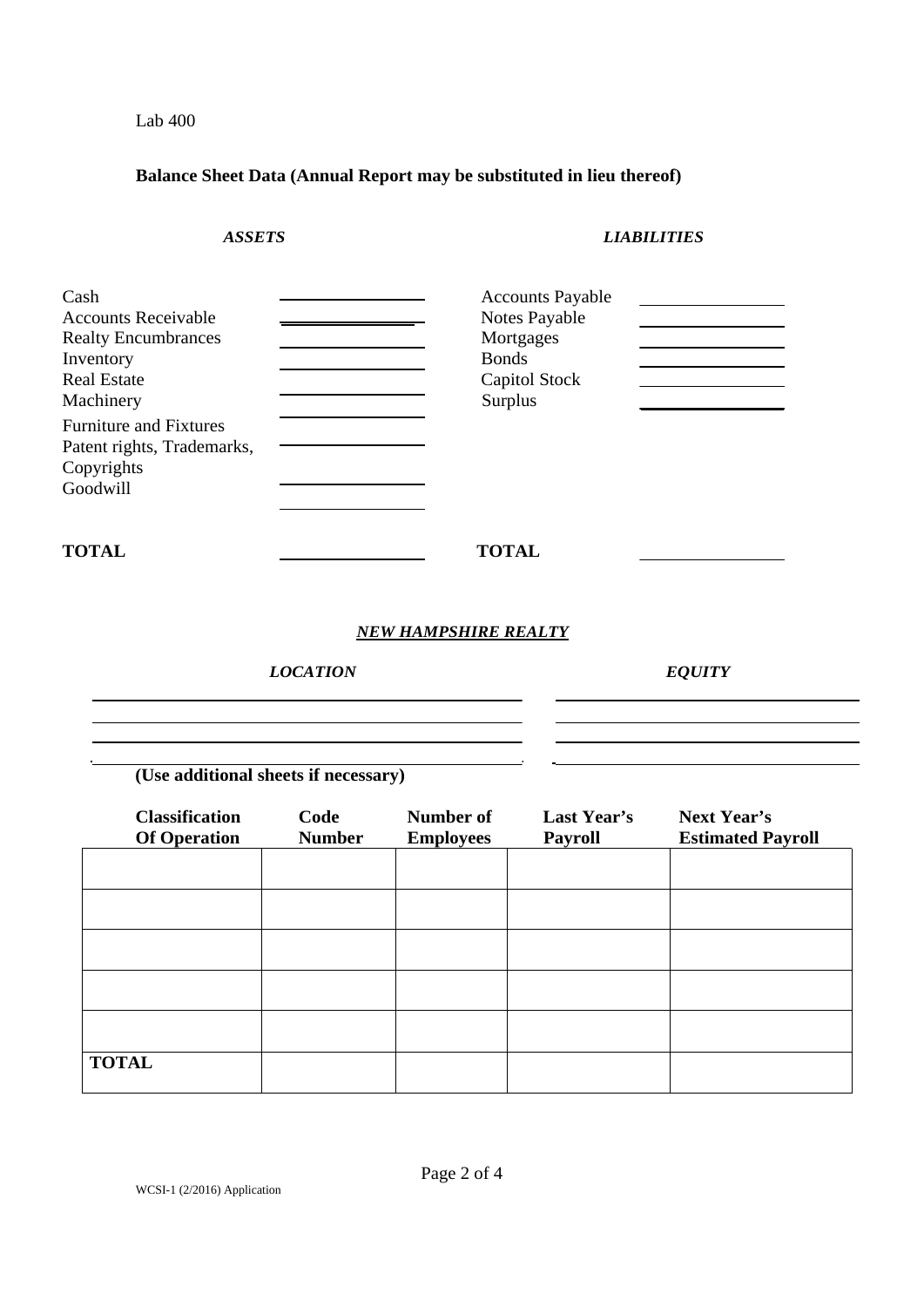Lab 400

## **Balance Sheet Data (Annual Report may be substituted in lieu thereof)**

# *ASSETS LIABILITIES*

| Cash<br><b>Accounts Receivable</b><br><b>Realty Encumbrances</b><br>Inventory<br><b>Real Estate</b><br>Machinery | <b>Accounts Payable</b><br>Notes Payable<br>Mortgages<br><b>Bonds</b><br>Capitol Stock<br>Surplus |
|------------------------------------------------------------------------------------------------------------------|---------------------------------------------------------------------------------------------------|
| <b>Furniture and Fixtures</b><br>Patent rights, Trademarks,<br>Copyrights<br>Goodwill                            |                                                                                                   |
| <b>TOTAL</b>                                                                                                     | <b>TOTAL</b>                                                                                      |

### *NEW HAMPSHIRE REALTY*

*LOCATION EQUITY* 

<u> 1980 - Johann Barbara, martxa amerikan personal (h. 1980).</u>

**(Use additional sheets if necessary)** 

| <b>Classification</b><br><b>Of Operation</b> | Code<br><b>Number</b> | Number of<br><b>Employees</b> | Last Year's<br><b>Payroll</b> | <b>Next Year's</b><br><b>Estimated Payroll</b> |
|----------------------------------------------|-----------------------|-------------------------------|-------------------------------|------------------------------------------------|
|                                              |                       |                               |                               |                                                |
|                                              |                       |                               |                               |                                                |
|                                              |                       |                               |                               |                                                |
|                                              |                       |                               |                               |                                                |
|                                              |                       |                               |                               |                                                |
| <b>TOTAL</b>                                 |                       |                               |                               |                                                |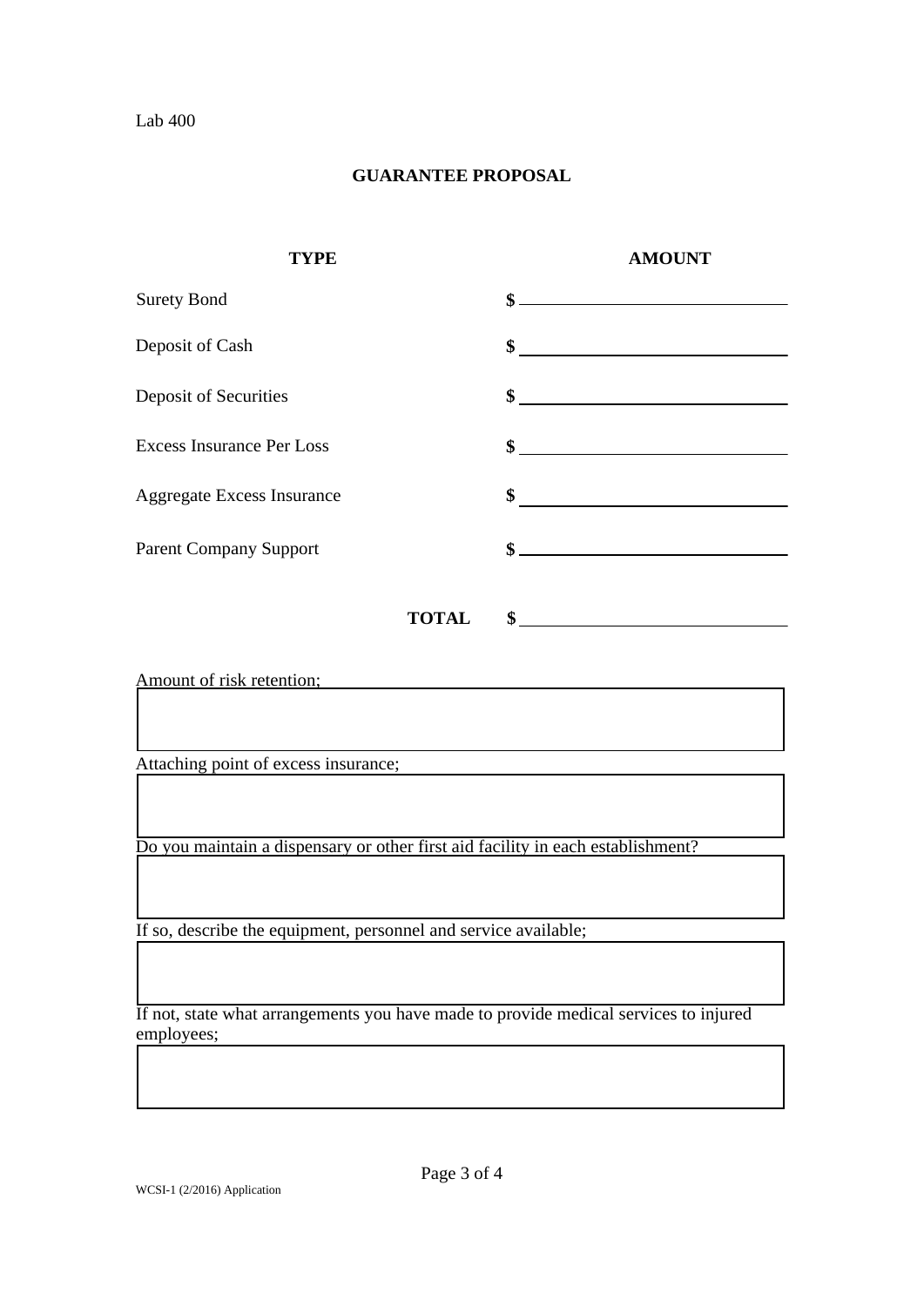# **GUARANTEE PROPOSAL**

| <b>TYPE</b>                       |              | <b>AMOUNT</b>                                                                                                                                                                                                                                                                                                       |
|-----------------------------------|--------------|---------------------------------------------------------------------------------------------------------------------------------------------------------------------------------------------------------------------------------------------------------------------------------------------------------------------|
| <b>Surety Bond</b>                |              | $\frac{1}{2}$ $\frac{1}{2}$ $\frac{1}{2}$ $\frac{1}{2}$ $\frac{1}{2}$ $\frac{1}{2}$ $\frac{1}{2}$ $\frac{1}{2}$ $\frac{1}{2}$ $\frac{1}{2}$ $\frac{1}{2}$ $\frac{1}{2}$ $\frac{1}{2}$ $\frac{1}{2}$ $\frac{1}{2}$ $\frac{1}{2}$ $\frac{1}{2}$ $\frac{1}{2}$ $\frac{1}{2}$ $\frac{1}{2}$ $\frac{1}{2}$ $\frac{1}{2}$ |
| Deposit of Cash                   |              | $\frac{1}{2}$ $\frac{1}{2}$ $\frac{1}{2}$ $\frac{1}{2}$ $\frac{1}{2}$ $\frac{1}{2}$ $\frac{1}{2}$ $\frac{1}{2}$ $\frac{1}{2}$ $\frac{1}{2}$ $\frac{1}{2}$ $\frac{1}{2}$ $\frac{1}{2}$ $\frac{1}{2}$ $\frac{1}{2}$ $\frac{1}{2}$ $\frac{1}{2}$ $\frac{1}{2}$ $\frac{1}{2}$ $\frac{1}{2}$ $\frac{1}{2}$ $\frac{1}{2}$ |
| Deposit of Securities             |              | $\sim$                                                                                                                                                                                                                                                                                                              |
| <b>Excess Insurance Per Loss</b>  |              | $\frac{1}{2}$ $\frac{1}{2}$ $\frac{1}{2}$ $\frac{1}{2}$ $\frac{1}{2}$ $\frac{1}{2}$ $\frac{1}{2}$ $\frac{1}{2}$ $\frac{1}{2}$ $\frac{1}{2}$ $\frac{1}{2}$ $\frac{1}{2}$ $\frac{1}{2}$ $\frac{1}{2}$ $\frac{1}{2}$ $\frac{1}{2}$ $\frac{1}{2}$ $\frac{1}{2}$ $\frac{1}{2}$ $\frac{1}{2}$ $\frac{1}{2}$ $\frac{1}{2}$ |
| <b>Aggregate Excess Insurance</b> | \$           |                                                                                                                                                                                                                                                                                                                     |
| <b>Parent Company Support</b>     |              | $\frac{1}{2}$ $\frac{1}{2}$ $\frac{1}{2}$ $\frac{1}{2}$ $\frac{1}{2}$ $\frac{1}{2}$ $\frac{1}{2}$ $\frac{1}{2}$ $\frac{1}{2}$ $\frac{1}{2}$ $\frac{1}{2}$ $\frac{1}{2}$ $\frac{1}{2}$ $\frac{1}{2}$ $\frac{1}{2}$ $\frac{1}{2}$ $\frac{1}{2}$ $\frac{1}{2}$ $\frac{1}{2}$ $\frac{1}{2}$ $\frac{1}{2}$ $\frac{1}{2}$ |
|                                   | <b>TOTAL</b> | $\sim$ $\sim$                                                                                                                                                                                                                                                                                                       |

Amount of risk retention;

Attaching point of excess insurance;

Do you maintain a dispensary or other first aid facility in each establishment?

If so, describe the equipment, personnel and service available;

If not, state what arrangements you have made to provide medical services to injured employees;